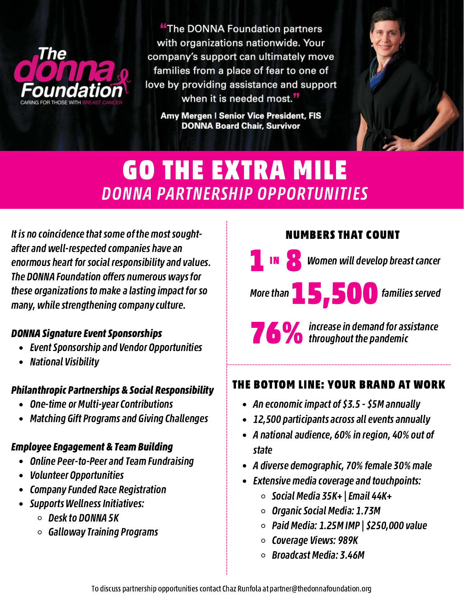

"The DONNA Foundation partners with organizations nationwide. Your company's support can ultimately move families from a place of fear to one of love by providing assistance and support when it is needed most."

Amy Mergen I Senior Vice President, FIS **DONNA Board Chair, Survivor** 



### GO THE EXTRA MILE DONNA PARTNERSHIP OPPORTUNITIES

It is no coincidence that some of the most soughtafter and well-respected companies have an enormous heart for social responsibility and values. The DONNA Foundation offers numerous ways for these organizations to make a lasting impact for so many, while strengthening company culture.

#### DONNA Signature Event Sponsorships

- Event Sponsorship and Vendor Opportunities
- National Visibility

### Philanthropic Partnerships & Social Responsibility

- One-time or Multi-year Contributions
- Matching Gift Programs and Giving Challenges

### Employee Engagement & Team Building

- Online Peer-to-Peer and Team Fundraising
- Volunteer Opportunities
- Company Funded Race Registration
- Supports Wellness Initiatives:
	- $\circ$  Desk to DONNA 5K
	- $\circ$  Galloway Training Programs

### NUMBERS THAT COUNT

**1 IN 8 Women will develop breast cancer** 

More than **15,500** families served

**76 %** increase in demand for assistance

### THE BOTTOM LINE: YOUR BRAND AT WORK

- An economic impact of \$3.5 \$5M annually
- 12,500 participants across all events annually
- A national audience, 60% in region, 40% out of state
- A diverse demographic, 70% female 30% male
- Extensive media coverage and touchpoints:
	- $\circ$  Social Media 35K+ | Email 44K+
	- Organic Social Media: 1.73M
	- $\circ$  Paid Media: 1.25M IMP | \$250,000 value
	- $\circ$  Coverage Views: 989K
	- $\circ$  Broadcast Media: 3.46M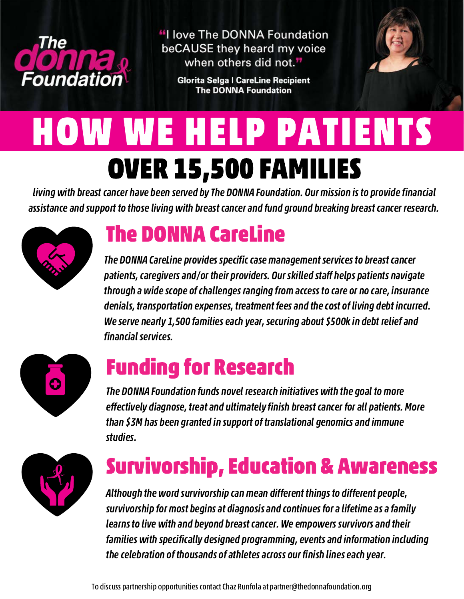

"I love The DONNA Foundation beCAUSE they heard my voice when others did not."

> **Glorita Selga I CareLine Recipient The DONNA Foundation**



# HOW WE HELP PATIENTS OVER 15,500 FAMILIES

living with breast cancer have been served by The DONNA Foundation. Our mission is to provide financial assistance and support to those living with breast cancer and fund ground breaking breast cancer research.



### The DONNA CareLine

The DONNA CareLine provides specific case management services to breast cancer patients, caregivers and/or their providers. Our skilled staff helps patients navigate through a wide scope of challenges ranging from access to care or no care, insurance denials, transportation expenses, treatment fees and the cost of living debt incurred. We serve nearly 1,500 families each year, securing about \$500k in debt relief and financial services.



### Funding for Research

The DONNA Foundation funds novel research initiatives with the goal to more effectively diagnose, treat and ultimately finish breast cancer for all patients. More than \$3M has been granted in support of translational genomics and immune studies.



## Survivorship, Education & Awareness

Although the word survivorship can mean different things to different people, survivorship for most begins at diagnosis and continues for a lifetime as a family learns to live with and beyond breast cancer. We empowers survivors and their families with specifically designed programming, events and information including the celebration of thousands of athletes across our finish lines each year.